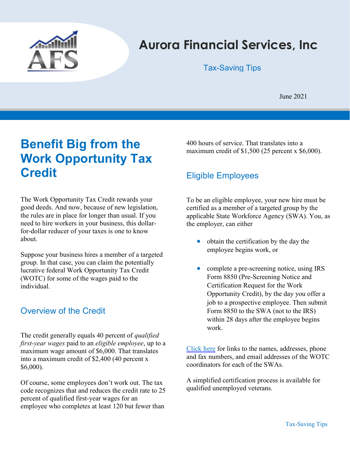

# Aurora Financial Services, Inc

Tax-Saving Tips

June 2021

# Benefit Big from the Work Opportunity Tax **Credit**

The Work Opportunity Tax Credit rewards your good deeds. And now, because of new legislation, the rules are in place for longer than usual. If you need to hire workers in your business, this dollarfor-dollar reducer of your taxes is one to know about.

Suppose your business hires a member of a targeted group. In that case, you can claim the potentially lucrative federal Work Opportunity Tax Credit (WOTC) for some of the wages paid to the individual.

## Overview of the Credit

The credit generally equals 40 percent of *qualified* first-year wages paid to an eligible employee, up to a maximum wage amount of \$6,000. That translates into a maximum credit of \$2,400 (40 percent x \$6,000).

Of course, some employees don't work out. The tax code recognizes that and reduces the credit rate to 25 percent of qualified first-year wages for an employee who completes at least 120 but fewer than

400 hours of service. That translates into a maximum credit of  $$1,500$  (25 percent x  $$6,000$ ).

## Eligible Employees

To be an eligible employee, your new hire must be certified as a member of a targeted group by the applicable State Workforce Agency (SWA). You, as the employer, can either

- obtain the certification by the day the employee begins work, or
- complete a pre-screening notice, using IRS Form 8850 (Pre-Screening Notice and Certification Request for the Work Opportunity Credit), by the day you offer a job to a prospective employee. Then submit Form 8850 to the SWA (not to the IRS) within 28 days after the employee begins work.

Click here for links to the names, addresses, phone and fax numbers, and email addresses of the WOTC coordinators for each of the SWAs.

A simplified certification process is available for qualified unemployed veterans.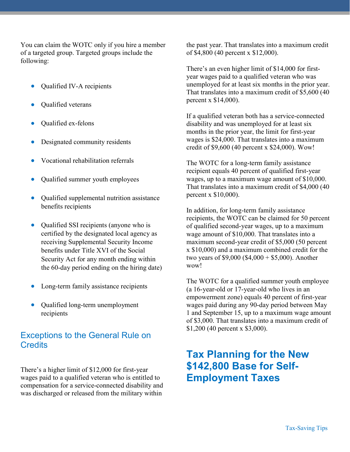You can claim the WOTC only if you hire a member of a targeted group. Targeted groups include the following:

- Qualified IV-A recipients
- Qualified veterans
- Qualified ex-felons
- Designated community residents
- Vocational rehabilitation referrals
- Qualified summer youth employees
- Qualified supplemental nutrition assistance benefits recipients
- Qualified SSI recipients (anyone who is certified by the designated local agency as receiving Supplemental Security Income benefits under Title XVI of the Social Security Act for any month ending within the 60-day period ending on the hiring date)
- Long-term family assistance recipients
- Oualified long-term unemployment recipients

### Exceptions to the General Rule on **Credits**

There's a higher limit of \$12,000 for first-year wages paid to a qualified veteran who is entitled to compensation for a service-connected disability and was discharged or released from the military within

the past year. That translates into a maximum credit of \$4,800 (40 percent x \$12,000).

There's an even higher limit of \$14,000 for firstyear wages paid to a qualified veteran who was unemployed for at least six months in the prior year. That translates into a maximum credit of \$5,600 (40 percent x \$14,000).

If a qualified veteran both has a service-connected disability and was unemployed for at least six months in the prior year, the limit for first-year wages is \$24,000. That translates into a maximum credit of \$9,600 (40 percent x \$24,000). Wow!

The WOTC for a long-term family assistance recipient equals 40 percent of qualified first-year wages, up to a maximum wage amount of \$10,000. That translates into a maximum credit of \$4,000 (40 percent x \$10,000).

In addition, for long-term family assistance recipients, the WOTC can be claimed for 50 percent of qualified second-year wages, up to a maximum wage amount of \$10,000. That translates into a maximum second-year credit of \$5,000 (50 percent x \$10,000) and a maximum combined credit for the two years of  $$9,000 ($4,000 + $5,000)$ . Another wow!

The WOTC for a qualified summer youth employee (a 16-year-old or 17-year-old who lives in an empowerment zone) equals 40 percent of first-year wages paid during any 90-day period between May 1 and September 15, up to a maximum wage amount of \$3,000. That translates into a maximum credit of \$1,200 (40 percent x \$3,000).

# Tax Planning for the New \$142,800 Base for Self-Employment Taxes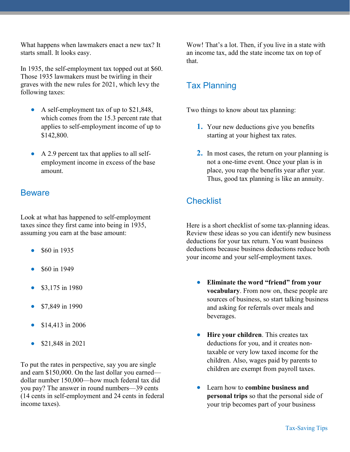What happens when lawmakers enact a new tax? It starts small. It looks easy.

In 1935, the self-employment tax topped out at \$60. Those 1935 lawmakers must be twirling in their graves with the new rules for 2021, which levy the following taxes:

- A self-employment tax of up to \$21,848, which comes from the 15.3 percent rate that applies to self-employment income of up to \$142,800.
- A 2.9 percent tax that applies to all selfemployment income in excess of the base amount.

#### **Beware**

Look at what has happened to self-employment taxes since they first came into being in 1935, assuming you earn at the base amount:

- \$60 in 1935
- \$60 in 1949
- \$3,175 in 1980
- \$7,849 in 1990
- \$14,413 in 2006
- \$21,848 in 2021

To put the rates in perspective, say you are single and earn \$150,000. On the last dollar you earned dollar number 150,000—how much federal tax did you pay? The answer in round numbers—39 cents (14 cents in self-employment and 24 cents in federal income taxes).

Wow! That's a lot. Then, if you live in a state with an income tax, add the state income tax on top of that.

### Tax Planning

Two things to know about tax planning:

- 1. Your new deductions give you benefits starting at your highest tax rates.
- 2. In most cases, the return on your planning is not a one-time event. Once your plan is in place, you reap the benefits year after year. Thus, good tax planning is like an annuity.

## **Checklist**

Here is a short checklist of some tax-planning ideas. Review these ideas so you can identify new business deductions for your tax return. You want business deductions because business deductions reduce both your income and your self-employment taxes.

- Eliminate the word "friend" from your vocabulary. From now on, these people are sources of business, so start talking business and asking for referrals over meals and beverages.
- Hire your children. This creates tax deductions for you, and it creates nontaxable or very low taxed income for the children. Also, wages paid by parents to children are exempt from payroll taxes.
- Learn how to combine business and personal trips so that the personal side of your trip becomes part of your business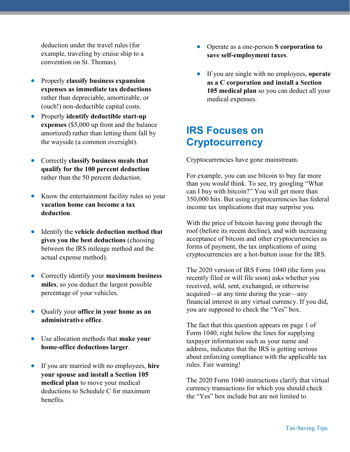deduction under the travel rules (for example, traveling by cruise ship to a convention on St. Thomas).

- Properly classify business expansion expenses as immediate tax deductions rather than depreciable, amortizable, or (ouch!) non-deductible capital costs.
- Properly identify deductible start-up expenses (\$5,000 up front and the balance amortized) rather than letting them fall by the wayside (a common oversight).
- Correctly classify business meals that qualify for the 100 percent deduction rather than the 50 percent deduction.
- Know the entertainment facility rules so your vacation home can become a tax deduction.
- Identify the vehicle deduction method that gives you the best deductions (choosing between the IRS mileage method and the actual expense method).
- Correctly identify your maximum business miles, so you deduct the largest possible percentage of your vehicles.
- Qualify your office in your home as an administrative office.
- Use allocation methods that make your home-office deductions larger.
- If you are married with no employees, hire your spouse and install a Section 105 medical plan to move your medical deductions to Schedule C for maximum benefits.
- Operate as a one-person S corporation to save self-employment taxes.
- **If you are single with no employees, operate** as a C corporation and install a Section 105 medical plan so you can deduct all your medical expenses.

# IRS Focuses on **Cryptocurrency**

Cryptocurrencies have gone mainstream.

For example, you can use bitcoin to buy far more than you would think. To see, try googling "What can I buy with bitcoin?" You will get more than 350,000 hits. But using cryptocurrencies has federal income tax implications that may surprise you.

With the price of bitcoin having gone through the roof (before its recent decline), and with increasing acceptance of bitcoin and other cryptocurrencies as forms of payment, the tax implications of using cryptocurrencies are a hot-button issue for the IRS.

The 2020 version of IRS Form 1040 (the form you recently filed or will file soon) asks whether you received, sold, sent, exchanged, or otherwise acquired—at any time during the year—any financial interest in any virtual currency. If you did, you are supposed to check the "Yes" box.

The fact that this question appears on page 1 of Form 1040, right below the lines for supplying taxpayer information such as your name and address, indicates that the IRS is getting serious about enforcing compliance with the applicable tax rules. Fair warning!

The 2020 Form 1040 instructions clarify that virtual currency transactions for which you should check the "Yes" box include but are not limited to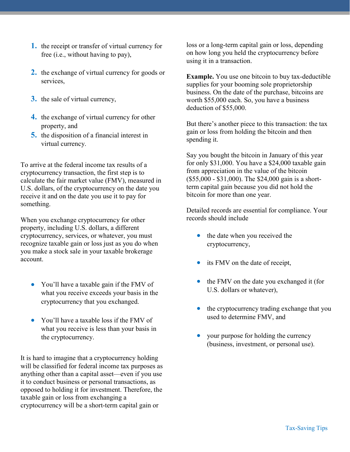- 1. the receipt or transfer of virtual currency for free (i.e., without having to pay),
- 2. the exchange of virtual currency for goods or services,
- 3. the sale of virtual currency,
- 4. the exchange of virtual currency for other property, and
- 5. the disposition of a financial interest in virtual currency.

To arrive at the federal income tax results of a cryptocurrency transaction, the first step is to calculate the fair market value (FMV), measured in U.S. dollars, of the cryptocurrency on the date you receive it and on the date you use it to pay for something.

When you exchange cryptocurrency for other property, including U.S. dollars, a different cryptocurrency, services, or whatever, you must recognize taxable gain or loss just as you do when you make a stock sale in your taxable brokerage account.

- You'll have a taxable gain if the FMV of what you receive exceeds your basis in the cryptocurrency that you exchanged.
- You'll have a taxable loss if the FMV of what you receive is less than your basis in the cryptocurrency.

It is hard to imagine that a cryptocurrency holding will be classified for federal income tax purposes as anything other than a capital asset—even if you use it to conduct business or personal transactions, as opposed to holding it for investment. Therefore, the taxable gain or loss from exchanging a cryptocurrency will be a short-term capital gain or

loss or a long-term capital gain or loss, depending on how long you held the cryptocurrency before using it in a transaction.

Example. You use one bitcoin to buy tax-deductible supplies for your booming sole proprietorship business. On the date of the purchase, bitcoins are worth \$55,000 each. So, you have a business deduction of \$55,000.

But there's another piece to this transaction: the tax gain or loss from holding the bitcoin and then spending it.

Say you bought the bitcoin in January of this year for only \$31,000. You have a \$24,000 taxable gain from appreciation in the value of the bitcoin (\$55,000 - \$31,000). The \$24,000 gain is a shortterm capital gain because you did not hold the bitcoin for more than one year.

Detailed records are essential for compliance. Your records should include

- the date when you received the cryptocurrency,
- its FMV on the date of receipt,
- the FMV on the date you exchanged it (for U.S. dollars or whatever),
- the cryptocurrency trading exchange that you used to determine FMV, and
- your purpose for holding the currency (business, investment, or personal use).